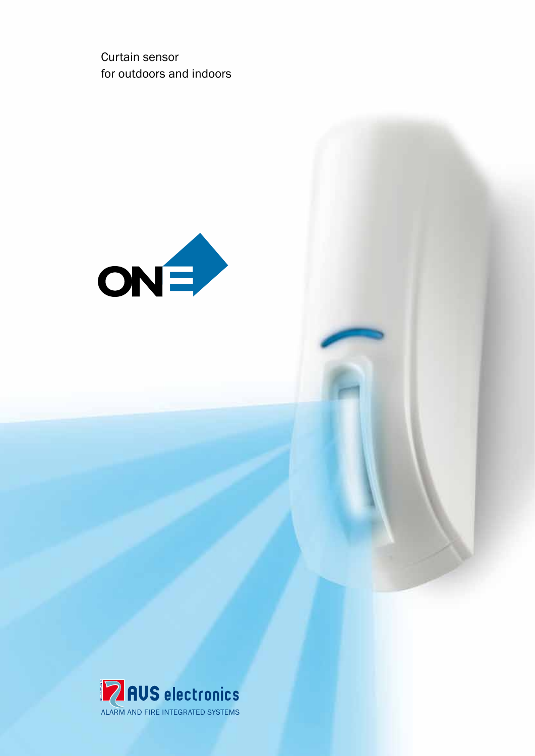Curtain sensor for outdoors and indoors



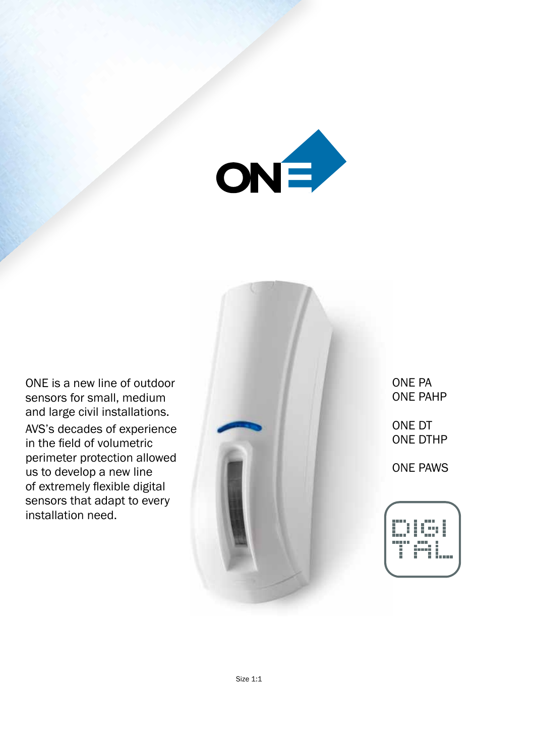

ONE is a new line of outdoor sensors for small, medium and large civil installations. AVS's decades of experience in the field of volumetric perimeter protection allowed us to develop a new line of extremely flexible digital sensors that adapt to every installation need.



ONE PA ONE PAHP

ONE DT ONE DTHP

ONE PAWS

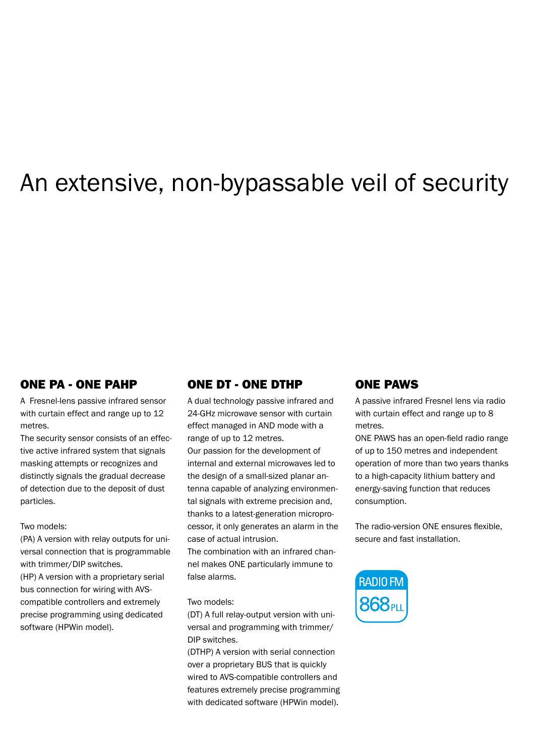# An extensive, non-bypassable veil of security

## ONE PA - ONE PAHP

A Fresnel-lens passive infrared sensor with curtain effect and range up to 12 metres.

The security sensor consists of an effective active infrared system that signals masking attempts or recognizes and distinctly signals the gradual decrease of detection due to the deposit of dust particles.

#### Two models:

(PA) A version with relay outputs for universal connection that is programmable with trimmer/DIP switches. (HP) A version with a proprietary serial

bus connection for wiring with AVScompatible controllers and extremely precise programming using dedicated software (HPWin model).

# ONE DT - ONE DTHP

A dual technology passive infrared and 24-GHz microwave sensor with curtain effect managed in AND mode with a range of up to 12 metres.

Our passion for the development of internal and external microwaves led to the design of a small-sized planar antenna capable of analyzing environmental signals with extreme precision and, thanks to a latest-generation microprocessor, it only generates an alarm in the case of actual intrusion.

The combination with an infrared channel makes ONE particularly immune to false alarms.

#### Two models:

(DT) A full relay-output version with universal and programming with trimmer/ DIP switches.

(DTHP) A version with serial connection over a proprietary BUS that is quickly wired to AVS-compatible controllers and features extremely precise programming with dedicated software (HPWin model).

## ONE PAWS

A passive infrared Fresnel lens via radio with curtain effect and range up to 8 metres.

ONE PAWS has an open-field radio range of up to 150 metres and independent operation of more than two years thanks to a high-capacity lithium battery and energy-saving function that reduces consumption.

The radio-version ONE ensures flexible, secure and fast installation.

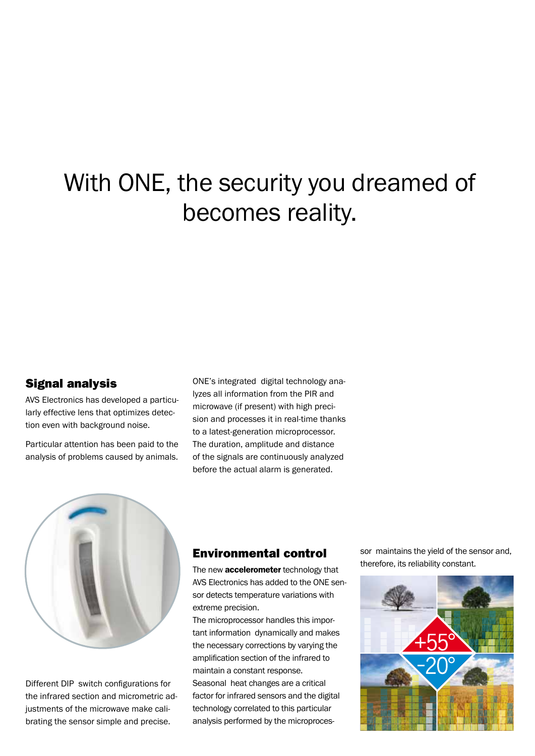# With ONE, the security you dreamed of becomes reality.

## Signal analysis

AVS Electronics has developed a particularly effective lens that optimizes detection even with background noise.

Particular attention has been paid to the analysis of problems caused by animals.

ONE's integrated digital technology analyzes all information from the PIR and microwave (if present) with high precision and processes it in real-time thanks to a latest-generation microprocessor. The duration, amplitude and distance of the signals are continuously analyzed before the actual alarm is generated.



Different DIP switch configurations for the infrared section and micrometric adjustments of the microwave make calibrating the sensor simple and precise.

## Environmental control

The new **accelerometer** technology that AVS Electronics has added to the ONE sensor detects temperature variations with extreme precision.

The microprocessor handles this important information dynamically and makes the necessary corrections by varying the amplification section of the infrared to maintain a constant response. Seasonal heat changes are a critical factor for infrared sensors and the digital technology correlated to this particular analysis performed by the microprocessor maintains the yield of the sensor and, therefore, its reliability constant.

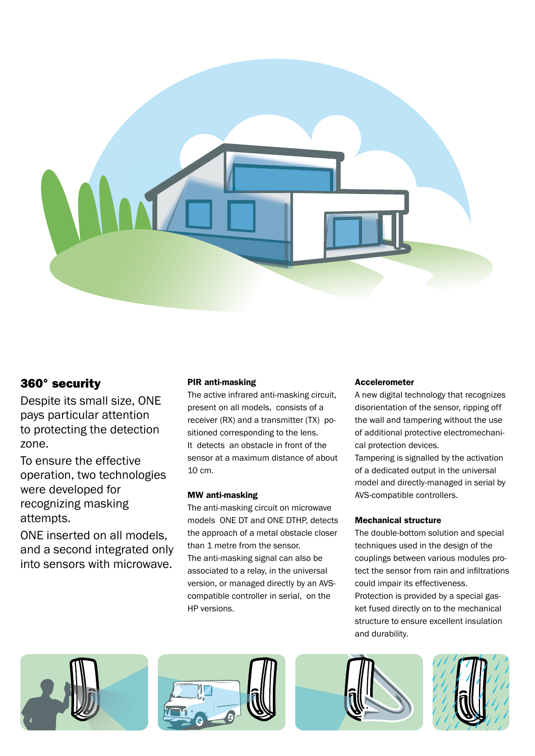

# 360° security

Despite its small size, ONE pays particular attention to protecting the detection zone.

To ensure the effective operation, two technologies were developed for recognizing masking attempts.

ONE inserted on all models, and a second integrated only into sensors with microwave.

### PIR anti-masking

The active infrared anti-masking circuit, present on all models, consists of a receiver (RX) and a transmitter (TX) positioned corresponding to the lens. It detects an obstacle in front of the sensor at a maximum distance of about 10 cm.

#### MW anti-masking

The anti-masking circuit on microwave models ONE DT and ONE DTHP, detects the approach of a metal obstacle closer than 1 metre from the sensor. The anti-masking signal can also be associated to a relay, in the universal version, or managed directly by an AVScompatible controller in serial, on the HP versions.

#### Accelerometer

A new digital technology that recognizes disorientation of the sensor, ripping off the wall and tampering without the use of additional protective electromechanical protection devices.

Tampering is signalled by the activation of a dedicated output in the universal model and directly-managed in serial by AVS-compatible controllers.

#### Mechanical structure

The double-bottom solution and special techniques used in the design of the couplings between various modules protect the sensor from rain and infiltrations could impair its effectiveness. Protection is provided by a special gas-

ket fused directly on to the mechanical structure to ensure excellent insulation and durability.





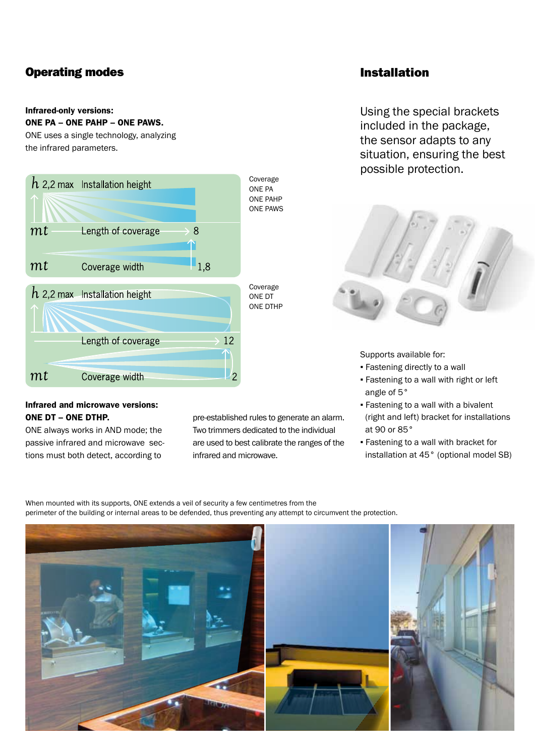# Operating modes

#### Infrared-only versions:

#### ONE PA – ONE PAHP – ONE PAWS.

ONE uses a single technology, analyzing the infrared parameters.



#### Infrared and microwave versions: ONE DT – ONE DTHP.

ONE always works in AND mode; the passive infrared and microwave sections must both detect, according to

pre-established rules to generate an alarm. Two trimmers dedicated to the individual are used to best calibrate the ranges of the infrared and microwave.

## Installation

Using the special brackets included in the package, the sensor adapts to any situation, ensuring the best possible protection.



Supports available for:

- Fastening directly to a wall
- Fastening to a wall with right or left angle of 5°
- **Fastening to a wall with a bivalent** (right and left) bracket for installations at 90 or 85°
- Fastening to a wall with bracket for installation at 45° (optional model SB)

When mounted with its supports, ONE extends a veil of security a few centimetres from the perimeter of the building or internal areas to be defended, thus preventing any attempt to circumvent the protection.

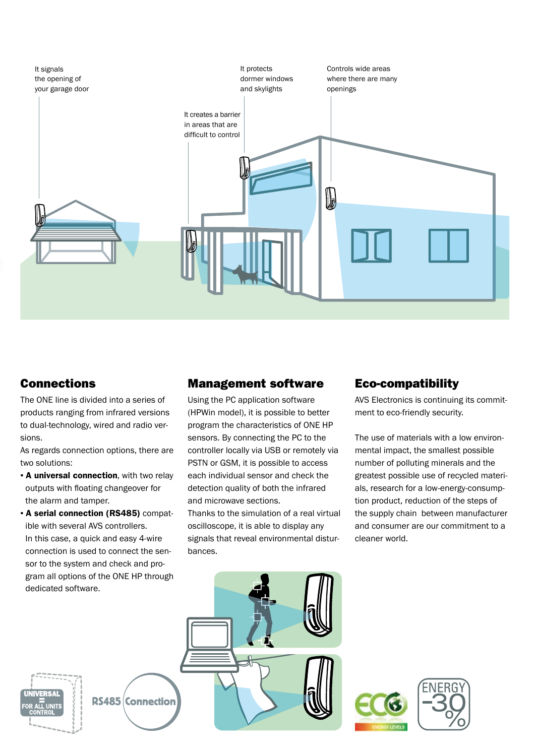

## Connections

The ONE line is divided into a series of products ranging from infrared versions to dual-technology, wired and radio versions.

As regards connection options, there are two solutions:

- **A universal connection**, with two relay outputs with floating changeover for the alarm and tamper.
- A serial connection (RS485) compatible with several AVS controllers. In this case, a quick and easy 4-wire connection is used to connect the sensor to the system and check and program all options of the ONE HP through dedicated software.

## Management software

Using the PC application software (HPWin model), it is possible to better program the characteristics of ONE HP sensors. By connecting the PC to the controller locally via USB or remotely via PSTN or GSM, it is possible to access each individual sensor and check the detection quality of both the infrared and microwave sections.

Thanks to the simulation of a real virtual oscilloscope, it is able to display any signals that reveal environmental disturbances.

# Eco-compatibility

AVS Electronics is continuing its commitment to eco-friendly security.

The use of materials with a low environmental impact, the smallest possible number of polluting minerals and the greatest possible use of recycled materials, research for a low-energy-consumption product, reduction of the steps of the supply chain between manufacturer and consumer are our commitment to a cleaner world.